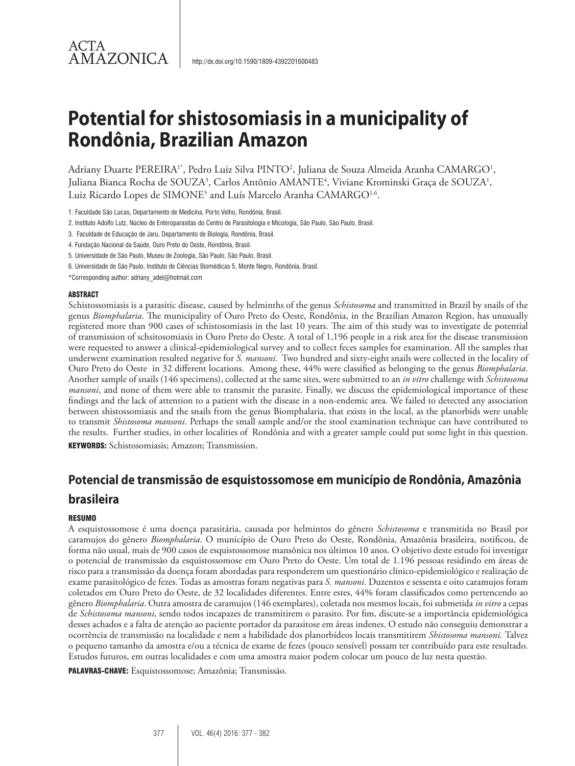# ACTA AMAZONICA

# **Potential for shistosomiasis in a municipality of Rondônia, Brazilian Amazon**

Adriany Duarte PEREIRA'\*, Pedro Luiz Silva PINTO<sup>2</sup>, Juliana de Souza Almeida Aranha CAMARGO<sup>1</sup>, Juliana Bianca Rocha de SOUZA<sup>3</sup>, Carlos Antônio AMANTE<sup>4</sup>, Viviane Krominski Graça de SOUZA<sup>1</sup>, Luiz Ricardo Lopes de SIMONE<sup>5</sup> and Luís Marcelo Aranha CAMARGO<sup>1,6</sup>.

1. Faculdade São Lucas, Departamento de Medicina, Porto Velho, Rondônia, Brasil.

- 2. Instituto Adolfo Lutz, Núcleo de Enteroparasitas do Centro de Parasitologia e Micologia, São Paulo, São Paulo, Brasil.
- 3. Faculdade de Educação de Jaru, Departamento de Biologia, Rondônia, Brasil.
- 4. Fundação Nacional da Saúde, Ouro Preto do Oeste, Rondônia, Brasil.
- 5. Universidade de São Paulo, Museu de Zoologia, São Paulo, São Paulo, Brasil.
- 6. Universidade de São Paulo, Instituto de Ciências Biomédicas 5, Monte Negro, Rondônia, Brasil.
- \*Corresponding author: adriany\_adel@hotmail.com

#### ABSTRACT

Schistossomiasis is a parasitic disease, caused by helminths of the genus *Schistosoma* and transmitted in Brazil by snails of the genus *Biomphalaria*. The municipality of Ouro Preto do Oeste, Rondônia, in the Brazilian Amazon Region, has unusually registered more than 900 cases of schistosomiasis in the last 10 years. The aim of this study was to investigate de potential of transmission of schsitosomiasis in Ouro Preto do Oeste. A total of 1,196 people in a risk area for the disease transmission were requested to answer a clinical-epidemiological survey and to collect feces samples for examination. All the samples that underwent examination resulted negative for *S. mansoni.* Two hundred and sixty-eight snails were collected in the locality of Ouro Preto do Oeste in 32 different locations. Among these, 44% were classified as belonging to the genus *Biomphalaria*. Another sample of snails (146 specimens), collected at the same sites, were submitted to an *in vitro* challenge with *Schistosoma mansoni*, and none of them were able to transmit the parasite. Finally, we discuss the epidemiological importance of these findings and the lack of attention to a patient with the disease in a non-endemic area. We failed to detected any association between shistossomiasis and the snails from the genus Biomphalaria, that exists in the local, as the planorbids were unable to transmit *Shistosoma mansoni*. Perhaps the small sample and/or the stool examination technique can have contributed to the results. Further studies, in other localities of Rondônia and with a greater sample could put some light in this question. KEYWORDS: Schistosomiasis; Amazon; Transmission.

# **Potencial de transmissão de esquistossomose em município de Rondônia, Amazônia brasileira**

#### **RESUMO**

A esquistossomose é uma doença parasitária, causada por helmintos do gênero *Schistosoma* e transmitida no Brasil por caramujos do gênero *Biomphalaria*. O município de Ouro Preto do Oeste, Rondônia, Amazônia brasileira, notificou, de forma não usual, mais de 900 casos de esquistossomose mansônica nos últimos 10 anos. O objetivo deste estudo foi investigar o potencial de transmissão da esquistossomose em Ouro Preto do Oeste. Um total de 1.196 pessoas residindo em áreas de risco para a transmissão da doença foram abordadas para responderem um questionário clínico-epidemiológico e realização de exame parasitológico de fezes. Todas as amostras foram negativas para *S. mansoni*. Duzentos e sessenta e oito caramujos foram coletados em Ouro Preto do Oeste, de 32 localidades diferentes. Entre estes, 44% foram classificados como pertencendo ao gênero *Biomphalaria*. Outra amostra de caramujos (146 exemplares), coletada nos mesmos locais, foi submetida *in vitro* a cepas de *Schistosoma mansoni*, sendo todos incapazes de transmitirem o parasito. Por fim, discute-se a importância epidemiológica desses achados e a falta de atenção ao paciente portador da parasitose em áreas indenes. O estudo não conseguiu demonstrar a ocorrência de transmissão na localidade e nem a habilidade dos planorbídeos locais transmitirem *Shistosoma mansoni.* Talvez o pequeno tamanho da amostra e/ou a técnica de exame de fezes (pouco sensível) possam ter contribuído para este resultado. Estudos futuros, em outras localidades e com uma amostra maior podem colocar um pouco de luz nesta questão.

PALAVRAS-CHAVE: Esquistossomose; Amazônia; Transmissão.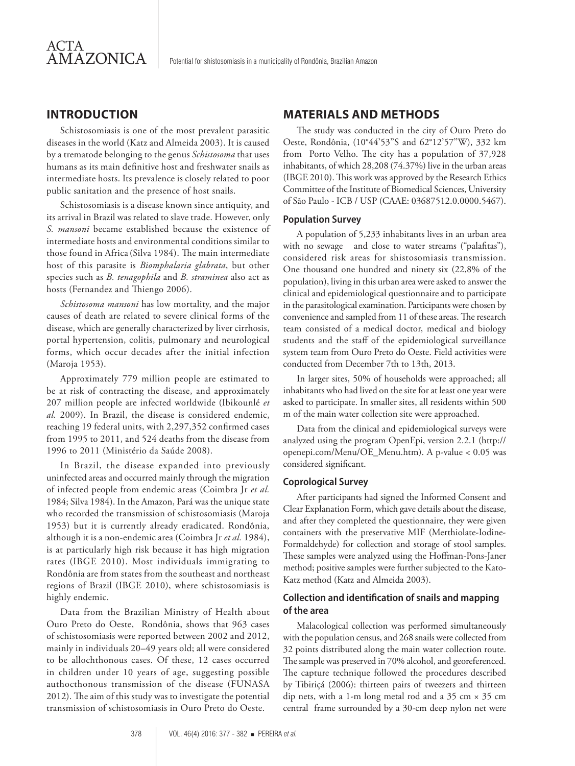# **INTRODUCTION**

Schistosomiasis is one of the most prevalent parasitic diseases in the world (Katz and Almeida 2003). It is caused by a trematode belonging to the genus *Schistosoma* that uses humans as its main definitive host and freshwater snails as intermediate hosts. Its prevalence is closely related to poor public sanitation and the presence of host snails.

Schistosomiasis is a disease known since antiquity, and its arrival in Brazil was related to slave trade. However, only *S. mansoni* became established because the existence of intermediate hosts and environmental conditions similar to those found in Africa (Silva 1984). The main intermediate host of this parasite is *Biomphalaria glabrata*, but other species such as *B. tenagophila* and *B. straminea* also act as hosts (Fernandez and Thiengo 2006).

*Schistosoma mansoni* has low mortality, and the major causes of death are related to severe clinical forms of the disease, which are generally characterized by liver cirrhosis, portal hypertension, colitis, pulmonary and neurological forms, which occur decades after the initial infection (Maroja 1953).

Approximately 779 million people are estimated to be at risk of contracting the disease, and approximately 207 million people are infected worldwide (Ibikounlé *et al.* 2009). In Brazil, the disease is considered endemic, reaching 19 federal units, with 2,297,352 confirmed cases from 1995 to 2011, and 524 deaths from the disease from 1996 to 2011 (Ministério da Saúde 2008).

In Brazil, the disease expanded into previously uninfected areas and occurred mainly through the migration of infected people from endemic areas (Coimbra Jr *et al.* 1984; Silva 1984). In the Amazon, Pará was the unique state who recorded the transmission of schistosomiasis (Maroja 1953) but it is currently already eradicated. Rondônia, although it is a non-endemic area (Coimbra Jr *et al.* 1984), is at particularly high risk because it has high migration rates (IBGE 2010). Most individuals immigrating to Rondônia are from states from the southeast and northeast regions of Brazil (IBGE 2010), where schistosomiasis is highly endemic.

Data from the Brazilian Ministry of Health about Ouro Preto do Oeste, Rondônia, shows that 963 cases of schistosomiasis were reported between 2002 and 2012, mainly in individuals 20–49 years old; all were considered to be allochthonous cases. Of these, 12 cases occurred in children under 10 years of age, suggesting possible authocthonous transmission of the disease (FUNASA 2012). The aim of this study was to investigate the potential transmission of schistosomiasis in Ouro Preto do Oeste.

# **MATERIALS AND METHODS**

The study was conducted in the city of Ouro Preto do Oeste, Rondônia, (10°44'53''S and 62°12'57''W), 332 km from Porto Velho. The city has a population of 37,928 inhabitants, of which 28,208 (74.37%) live in the urban areas (IBGE 2010). This work was approved by the Research Ethics Committee of the Institute of Biomedical Sciences, University of São Paulo - ICB / USP (CAAE: 03687512.0.0000.5467).

#### **Population Survey**

A population of 5,233 inhabitants lives in an urban area with no sewage and close to water streams ("palafitas"), considered risk areas for shistosomiasis transmission. One thousand one hundred and ninety six (22,8% of the population), living in this urban area were asked to answer the clinical and epidemiological questionnaire and to participate in the parasitological examination. Participants were chosen by convenience and sampled from 11 of these areas. The research team consisted of a medical doctor, medical and biology students and the staff of the epidemiological surveillance system team from Ouro Preto do Oeste. Field activities were conducted from December 7th to 13th, 2013.

In larger sites, 50% of households were approached; all inhabitants who had lived on the site for at least one year were asked to participate. In smaller sites, all residents within 500 m of the main water collection site were approached.

Data from the clinical and epidemiological surveys were analyzed using the program OpenEpi, version 2.2.1 (http:// openepi.com/Menu/OE\_Menu.htm). A p-value < 0.05 was considered significant.

#### **Coprological Survey**

After participants had signed the Informed Consent and Clear Explanation Form, which gave details about the disease, and after they completed the questionnaire, they were given containers with the preservative MIF (Merthiolate-Iodine-Formaldehyde) for collection and storage of stool samples. These samples were analyzed using the Hoffman-Pons-Janer method; positive samples were further subjected to the Kato-Katz method (Katz and Almeida 2003).

# **Collection and identification of snails and mapping of the area**

Malacological collection was performed simultaneously with the population census, and 268 snails were collected from 32 points distributed along the main water collection route. The sample was preserved in 70% alcohol, and georeferenced. The capture technique followed the procedures described by Tibiriçá (2006): thirteen pairs of tweezers and thirteen dip nets, with a 1-m long metal rod and a  $35 \text{ cm} \times 35 \text{ cm}$ central frame surrounded by a 30-cm deep nylon net were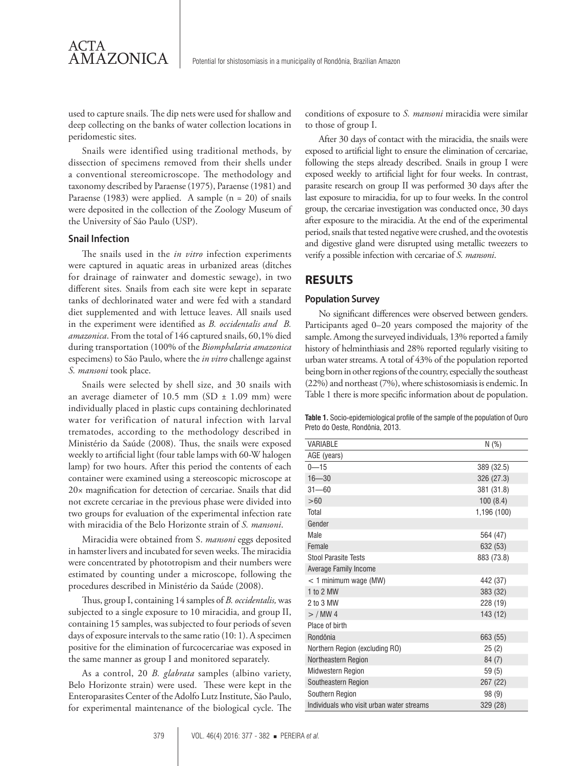used to capture snails. The dip nets were used for shallow and deep collecting on the banks of water collection locations in peridomestic sites.

Snails were identified using traditional methods, by dissection of specimens removed from their shells under a conventional stereomicroscope. The methodology and taxonomy described by Paraense (1975), Paraense (1981) and Paraense (1983) were applied. A sample (n = 20) of snails were deposited in the collection of the Zoology Museum of the University of São Paulo (USP).

#### **Snail Infection**

ACTA<br>AMAZONICA

The snails used in the *in vitro* infection experiments were captured in aquatic areas in urbanized areas (ditches for drainage of rainwater and domestic sewage), in two different sites. Snails from each site were kept in separate tanks of dechlorinated water and were fed with a standard diet supplemented and with lettuce leaves. All snails used in the experiment were identified as *B. occidentalis and B. amazonica*. From the total of 146 captured snails, 60,1% died during transportation (100% of the *Biomphalaria amazonica* especimens) to São Paulo, where the *in vitro* challenge against *S. mansoni* took place.

Snails were selected by shell size, and 30 snails with an average diameter of 10.5 mm (SD  $\pm$  1.09 mm) were individually placed in plastic cups containing dechlorinated water for verification of natural infection with larval trematodes, according to the methodology described in Ministério da Saúde (2008). Thus, the snails were exposed weekly to artificial light (four table lamps with 60-W halogen lamp) for two hours. After this period the contents of each container were examined using a stereoscopic microscope at 20× magnification for detection of cercariae. Snails that did not excrete cercariae in the previous phase were divided into two groups for evaluation of the experimental infection rate with miracidia of the Belo Horizonte strain of *S. mansoni*.

Miracidia were obtained from S. *mansoni* eggs deposited in hamster livers and incubated for seven weeks. The miracidia were concentrated by phototropism and their numbers were estimated by counting under a microscope, following the procedures described in Ministério da Saúde (2008).

Thus, group I, containing 14 samples of *B. occidentalis,* was subjected to a single exposure to 10 miracidia, and group II, containing 15 samples, was subjected to four periods of seven days of exposure intervals to the same ratio (10: 1). A specimen positive for the elimination of furcocercariae was exposed in the same manner as group I and monitored separately.

As a control, 20 *B. glabrata* samples (albino variety, Belo Horizonte strain) were used. These were kept in the Enteroparasites Center of the Adolfo Lutz Institute, São Paulo, for experimental maintenance of the biological cycle. The

conditions of exposure to *S. mansoni* miracidia were similar to those of group I.

After 30 days of contact with the miracidia, the snails were exposed to artificial light to ensure the elimination of cercariae, following the steps already described. Snails in group I were exposed weekly to artificial light for four weeks. In contrast, parasite research on group II was performed 30 days after the last exposure to miracidia, for up to four weeks. In the control group, the cercariae investigation was conducted once, 30 days after exposure to the miracidia. At the end of the experimental period, snails that tested negative were crushed, and the ovotestis and digestive gland were disrupted using metallic tweezers to verify a possible infection with cercariae of *S. mansoni*.

### **RESULTS**

#### **Population Survey**

No significant differences were observed between genders. Participants aged 0–20 years composed the majority of the sample. Among the surveyed individuals, 13% reported a family history of helminthiasis and 28% reported regularly visiting to urban water streams. A total of 43% of the population reported being born in other regions of the country, especially the southeast (22%) and northeast (7%), where schistosomiasis is endemic. In Table 1 there is more specific information about de population.

| <b>Table 1.</b> Socio-epidemiological profile of the sample of the population of Ouro |  |
|---------------------------------------------------------------------------------------|--|
| Preto do Oeste, Rondônia, 2013,                                                       |  |

| VARIABLE                                  | N(%)        |
|-------------------------------------------|-------------|
| AGE (years)                               |             |
| $0 - 15$                                  | 389 (32.5)  |
| $16 - 30$                                 | 326 (27.3)  |
| $31 - 60$                                 | 381 (31.8)  |
| >60                                       | 100(8.4)    |
| Total                                     | 1,196 (100) |
| Gender                                    |             |
| Male                                      | 564 (47)    |
| Female                                    | 632 (53)    |
| <b>Stool Parasite Tests</b>               | 883 (73.8)  |
| Average Family Income                     |             |
| $<$ 1 minimum wage (MW)                   | 442 (37)    |
| 1 to 2 MW                                 | 383 (32)    |
| 2 to 3 MW                                 | 228 (19)    |
| $>$ / MW 4                                | 143 (12)    |
| Place of birth                            |             |
| Rondônia                                  | 663 (55)    |
| Northern Region (excluding RO)            | 25(2)       |
| Northeastern Region                       | 84(7)       |
| <b>Midwestern Region</b>                  | 59(5)       |
| Southeastern Region                       | 267 (22)    |
| Southern Region                           | 98 (9)      |
| Individuals who visit urban water streams | 329 (28)    |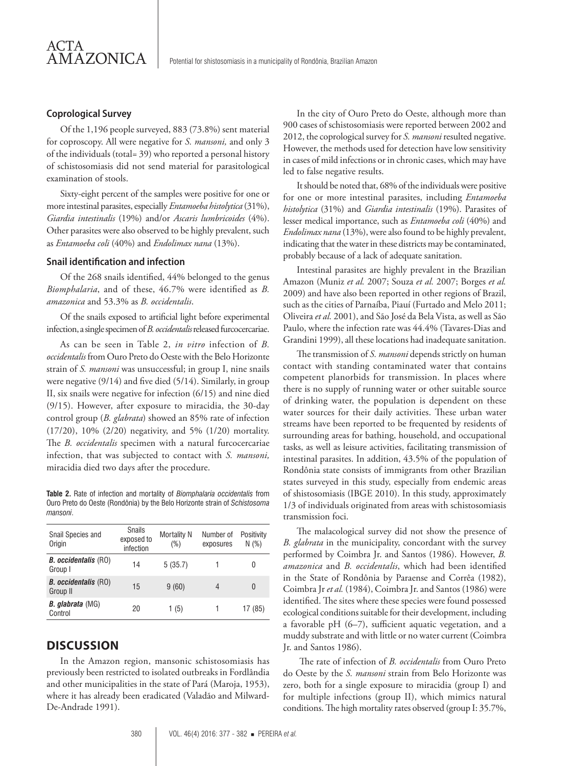#### **Coprological Survey**

AMAZONICA

ACTA

Of the 1,196 people surveyed, 883 (73.8%) sent material for coproscopy. All were negative for *S. mansoni,* and only 3 of the individuals (total= 39) who reported a personal history of schistosomiasis did not send material for parasitological examination of stools.

Sixty-eight percent of the samples were positive for one or more intestinal parasites, especially *Entamoeba histolytica* (31%), *Giardia intestinalis* (19%) and/or *Ascaris lumbricoides* (4%). Other parasites were also observed to be highly prevalent, such as *Entamoeba coli* (40%) and *Endolimax nana* (13%).

#### **Snail identification and infection**

Of the 268 snails identified, 44% belonged to the genus *Biomphalaria*, and of these, 46.7% were identified as *B. amazonica* and 53.3% as *B. occidentalis*.

Of the snails exposed to artificial light before experimental infection, a single specimen of *B. occidentalis* released furcocercariae.

As can be seen in Table 2, *in vitro* infection of *B. occidentalis* from Ouro Preto do Oeste with the Belo Horizonte strain of *S. mansoni* was unsuccessful; in group I, nine snails were negative (9/14) and five died (5/14). Similarly, in group II, six snails were negative for infection (6/15) and nine died (9/15). However, after exposure to miracidia, the 30-day control group (*B. glabrata*) showed an 85% rate of infection (17/20), 10% (2/20) negativity, and 5% (1/20) mortality. The *B. occidentalis* specimen with a natural furcocercariae infection, that was subjected to contact with *S. mansoni,*  miracidia died two days after the procedure.

**Table 2.** Rate of infection and mortality of *Biomphalaria occidentalis* from Ouro Preto do Oeste (Rondônia) by the Belo Horizonte strain of *Schistosoma mansoni*.

| Snail Species and<br>Origin             | <b>Snails</b><br>exposed to<br>infection | <b>Mortality N</b><br>$(\%)$ | Number of<br>exposures | Positivity<br>N(%) |
|-----------------------------------------|------------------------------------------|------------------------------|------------------------|--------------------|
| <b>B.</b> occidentalis (RO)<br>Group I  | 14                                       | 5(35.7)                      |                        | 0                  |
| <b>B.</b> occidentalis (RO)<br>Group II | 15                                       | 9(60)                        | 4                      | 0                  |
| <b>B.</b> glabrata (MG)<br>Control      | 20                                       | 1(5)                         |                        | 17 (85)            |

# **DISCUSSION**

In the Amazon region, mansonic schistosomiasis has previously been restricted to isolated outbreaks in Fordlândia and other municipalities in the state of Pará (Maroja, 1953), where it has already been eradicated (Valadão and Milward-De-Andrade 1991).

In the city of Ouro Preto do Oeste, although more than 900 cases of schistosomiasis were reported between 2002 and 2012, the coprological survey for *S. mansoni* resulted negative. However, the methods used for detection have low sensitivity in cases of mild infections or in chronic cases, which may have led to false negative results.

It should be noted that, 68% of the individuals were positive for one or more intestinal parasites, including *Entamoeba histolytica* (31%) and *Giardia intestinalis* (19%). Parasites of lesser medical importance, such as *Entamoeba coli* (40%) and *Endolimax nana* (13%), were also found to be highly prevalent, indicating that the water in these districts may be contaminated, probably because of a lack of adequate sanitation.

Intestinal parasites are highly prevalent in the Brazilian Amazon (Muniz *et al.* 2007; Souza *et al.* 2007; Borges *et al.*  2009) and have also been reported in other regions of Brazil, such as the cities of Parnaíba, Piauí (Furtado and Melo 2011; Oliveira *et al.* 2001), and São José da Bela Vista, as well as São Paulo, where the infection rate was 44.4% (Tavares-Dias and Grandini 1999), all these locations had inadequate sanitation.

The transmission of *S. mansoni* depends strictly on human contact with standing contaminated water that contains competent planorbids for transmission. In places where there is no supply of running water or other suitable source of drinking water, the population is dependent on these water sources for their daily activities. These urban water streams have been reported to be frequented by residents of surrounding areas for bathing, household, and occupational tasks, as well as leisure activities, facilitating transmission of intestinal parasites. In addition, 43.5% of the population of Rondônia state consists of immigrants from other Brazilian states surveyed in this study, especially from endemic areas of shistosomiasis (IBGE 2010). In this study, approximately 1/3 of individuals originated from areas with schistosomiasis transmission foci.

The malacological survey did not show the presence of *B. glabrata* in the municipality, concordant with the survey performed by Coimbra Jr. and Santos (1986). However, *B. amazonica* and *B. occidentalis*, which had been identified in the State of Rondônia by Paraense and Corrêa (1982), Coimbra Jr *et al.* (1984), Coimbra Jr. and Santos (1986) were identified. The sites where these species were found possessed ecological conditions suitable for their development, including a favorable pH (6–7), sufficient aquatic vegetation, and a muddy substrate and with little or no water current (Coimbra Jr. and Santos 1986).

 The rate of infection of *B. occidentalis* from Ouro Preto do Oeste by the *S. mansoni* strain from Belo Horizonte was zero, both for a single exposure to miracidia (group I) and for multiple infections (group II), which mimics natural conditions. The high mortality rates observed (group I: 35.7%,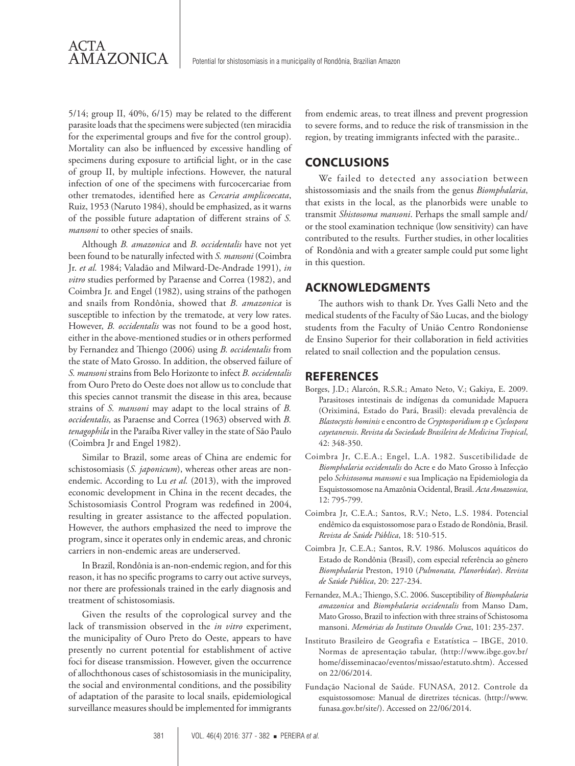5/14; group II, 40%, 6/15) may be related to the different parasite loads that the specimens were subjected (ten miracidia for the experimental groups and five for the control group). Mortality can also be influenced by excessive handling of specimens during exposure to artificial light, or in the case of group II, by multiple infections. However, the natural infection of one of the specimens with furcocercariae from other trematodes, identified here as *Cercaria amplicoecata*, Ruiz, 1953 (Naruto 1984), should be emphasized, as it warns of the possible future adaptation of different strains of *S. mansoni* to other species of snails.

ACTA<br>AMAZONICA

Although *B. amazonica* and *B. occidentalis* have not yet been found to be naturally infected with *S. mansoni* (Coimbra Jr. *et al.* 1984; Valadão and Milward-De-Andrade 1991), *in vitro* studies performed by Paraense and Correa (1982), and Coimbra Jr. and Engel (1982), using strains of the pathogen and snails from Rondônia, showed that *B. amazonica* is susceptible to infection by the trematode, at very low rates. However, *B. occidentalis* was not found to be a good host, either in the above-mentioned studies or in others performed by Fernandez and Thiengo (2006) using *B. occidentalis* from the state of Mato Grosso. In addition, the observed failure of *S. mansoni* strains from Belo Horizonte to infect *B. occidentalis* from Ouro Preto do Oeste does not allow us to conclude that this species cannot transmit the disease in this area, because strains of *S. mansoni* may adapt to the local strains of *B. occidentalis,* as Paraense and Correa (1963) observed with *B. tenagophila* in the Paraíba River valley in the state of São Paulo (Coimbra Jr and Engel 1982).

Similar to Brazil, some areas of China are endemic for schistosomiasis (*S. japonicum*), whereas other areas are nonendemic. According to Lu et al. (2013), with the improved economic development in China in the recent decades, the Schistosomiasis Control Program was redefined in 2004, resulting in greater assistance to the affected population. However, the authors emphasized the need to improve the program, since it operates only in endemic areas, and chronic carriers in non-endemic areas are underserved.

In Brazil, Rondônia is an-non-endemic region, and for this reason, it has no specific programs to carry out active surveys, nor there are professionals trained in the early diagnosis and treatment of schistosomiasis.

Given the results of the coprological survey and the lack of transmission observed in the *in vitro* experiment, the municipality of Ouro Preto do Oeste, appears to have presently no current potential for establishment of active foci for disease transmission. However, given the occurrence of allochthonous cases of schistosomiasis in the municipality, the social and environmental conditions, and the possibility of adaptation of the parasite to local snails, epidemiological surveillance measures should be implemented for immigrants

from endemic areas, to treat illness and prevent progression to severe forms, and to reduce the risk of transmission in the region, by treating immigrants infected with the parasite..

### **CONCLUSIONS**

We failed to detected any association between shistossomiasis and the snails from the genus *Biomphalaria*, that exists in the local, as the planorbids were unable to transmit *Shistosoma mansoni*. Perhaps the small sample and/ or the stool examination technique (low sensitivity) can have contributed to the results. Further studies, in other localities of Rondônia and with a greater sample could put some light in this question.

# **ACKNOWLEDGMENTS**

The authors wish to thank Dr. Yves Galli Neto and the medical students of the Faculty of São Lucas, and the biology students from the Faculty of União Centro Rondoniense de Ensino Superior for their collaboration in field activities related to snail collection and the population census.

#### **REFERENCES**

- Borges, J.D.; Alarcón, R.S.R.; Amato Neto, V.; Gakiya, E. 2009. Parasitoses intestinais de indígenas da comunidade Mapuera (Oriximiná, Estado do Pará, Brasil): elevada prevalência de *Blastocystis hominis* e encontro de *Cryptosporidium sp* e *Cyclospora cayetanensis*. *Revista da Sociedade Brasileira de Medicina Tropical*, 42: 348-350.
- Coimbra Jr, C.E.A.; Engel, L.A. 1982. Suscetibilidade de *Biomphalaria occidentalis* do Acre e do Mato Grosso à Infecção pelo *Schistosoma mansoni* e sua Implicação na Epidemiologia da Esquistossomose na Amazônia Ocidental, Brasil. *Acta Amazonica*, 12: 795-799.
- Coimbra Jr, C.E.A.; Santos, R.V.; Neto, L.S. 1984. Potencial endêmico da esquistossomose para o Estado de Rondônia, Brasil. *Revista de Saúde Pública*, 18: 510-515.
- Coimbra Jr, C.E.A.; Santos, R.V. 1986. Moluscos aquáticos do Estado de Rondônia (Brasil), com especial referência ao gênero *Biomphalaria* Preston, 1910 (*Pulmonata, Planorbidae*). *Revista de Saúde Pública*, 20: 227-234.
- Fernandez, M.A.; Thiengo, S.C. 2006. Susceptibility of *Biomphalaria amazonica* and *Biomphalaria occidentalis* from Manso Dam, Mato Grosso, Brazil to infection with three strains of Schistosoma mansoni. *Memórias do Instituto Oswaldo Cruz*, 101: 235-237.
- Instituto Brasileiro de Geografia e Estatística IBGE, 2010. Normas de apresentação tabular, (http://www.ibge.gov.br/ home/disseminacao/eventos/missao/estatuto.shtm). Accessed on 22/06/2014.
- Fundação Nacional de Saúde. FUNASA, 2012. Controle da esquistossomose: Manual de diretrizes técnicas. (http://www. funasa.gov.br/site/). Accessed on 22/06/2014.